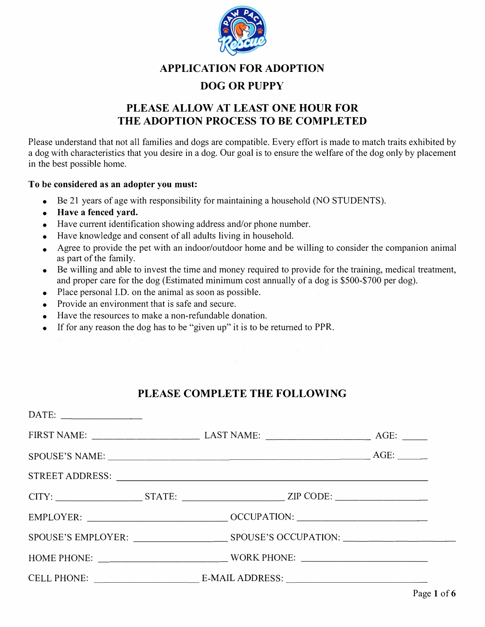

#### **APPLICATION FOR ADOPTION**

### **DOG OR PUPPY**

# **PLEASE ALLOW AT LEAST ONE HOUR FOR THE ADOPTION PROCESS TO BE COMPLETED**

Please understand that not all families and dogs are compatible. Every effort is made to match traits exhibited by a dog with characteristics that you desire in a dog. Our goal is to ensure the welfare of the dog only by placement in the best possible home.

#### **To be considered as an adopter you must:**

- Be 21 years of age with responsibility for maintaining a household (NO STUDENTS).
- **Have a fenced yard.**
- Have current identification showing address and/or phone number.
- Have knowledge and consent of all adults living in household.
- Agree to provide the pet with an indoor/outdoor home and be willing to consider the companion animal as part of the family.
- Be willing and able to invest the time and money required to provide for the training, medical treatment, and proper care for the dog (Estimated minimum cost annually of a dog is \$500-\$700 per dog).
- Place personal I.D. on the animal as soon as possible.
- Provide an environment that is safe and secure.
- Have the resources to make a non-refundable donation.
- If for any reason the dog has to be "given up" it is to be returned to PPR.

## **PLEASE COMPLETE THE FOLLOWING**

| $SPOUS E'S NAME:$ $AGE:$ $AGE:$     |  |
|-------------------------------------|--|
|                                     |  |
|                                     |  |
|                                     |  |
|                                     |  |
| HOME PHONE: WORK PHONE: WORK PHONE: |  |
|                                     |  |
|                                     |  |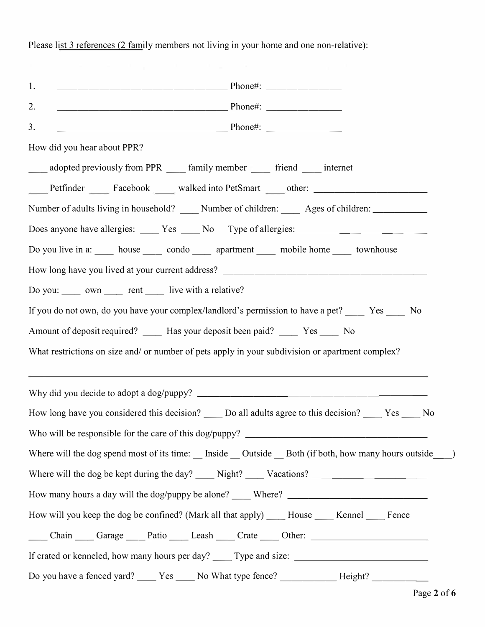1. 2. 3. ---------------- Phone#: -------  $Phone\#$ : Phone#: How did you hear about PPR? adopted previously from PPR family member friend internet Petfinder Facebook walked into PetSmart other: Number of adults living in household? \_\_\_\_ Number of children: Ages of children: \_\_\_\_\_\_\_\_\_\_\_ Does anyone have allergies: Yes \_ No Type of allergies: \_\_\_\_\_\_\_\_\_\_\_\_\_\_\_\_\_\_\_\_\_\_\_\_ Do you live in a: low house condo apartment mobile home townhouse How long have you lived at your current address? \_\_\_\_\_\_\_\_\_\_\_\_\_\_\_\_\_\_\_\_\_\_\_\_\_\_\_\_\_\_\_ Do you: own rent live with a relative? If you do not own, do you have your complex/landlord's permission to have a pet? Yes No Amount of deposit required? Has your deposit been paid? Yes No What restrictions on size and/ or number of pets apply in your subdivision or apartment complex? Why did you decide to adopt a dog/puppy? \_\_\_\_\_\_\_\_\_\_\_\_\_\_\_\_\_\_\_ \_ How long have you considered this decision? Do all adults agree to this decision? Yes No Who will be responsible for the care of this dog/puppy? \_\_\_\_\_\_\_\_\_\_\_\_\_\_\_\_ \_ Where will the dog spend most of its time: Inside Outside Both (if both, how many hours outside) Where will the dog be kept during the day?  $\qquad$  Night?  $\qquad$  Vacations?  $\qquad$ How many hours a day will the dog/puppy be alone? Where? How will you keep the dog be confined? (Mark all that apply) House Kennel Fence Chain Garage Patio Leash Crate Other: 2008 If crated or kenneled, how many hours per day? Type and size: Do you have a fenced yard? \_\_\_\_\_ Yes \_\_\_\_ No What type fence? \_\_\_\_\_\_\_\_\_\_\_\_ Height? \_\_\_\_\_\_\_\_\_\_

Please list 3 references (2 family members not living in your home and one non-relative):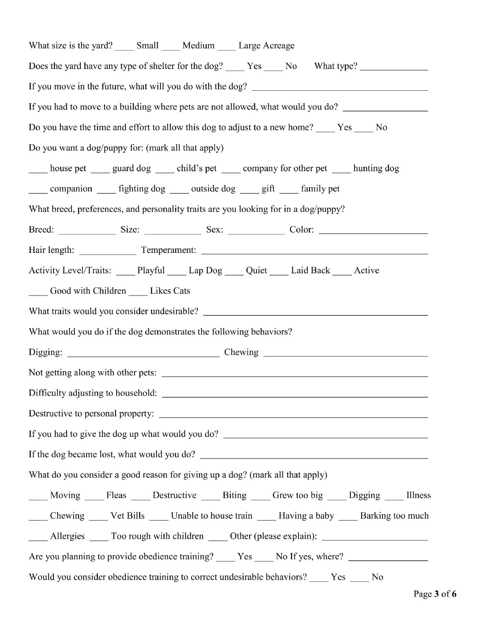| What size is the yard? ______ Small ______ Medium ______ Large Acreage                                  |  |  |  |  |
|---------------------------------------------------------------------------------------------------------|--|--|--|--|
| Does the yard have any type of shelter for the dog? _____ Yes _____ No What type? _________________     |  |  |  |  |
|                                                                                                         |  |  |  |  |
| If you had to move to a building where pets are not allowed, what would you do? ___________________     |  |  |  |  |
| Do you have the time and effort to allow this dog to adjust to a new home? _____ Yes _____ No           |  |  |  |  |
| Do you want a dog/puppy for: (mark all that apply)                                                      |  |  |  |  |
| house pet ______ guard dog ______ child's pet ______ company for other pet ______ hunting dog           |  |  |  |  |
| companion _______ fighting dog _______ outside dog _______ gift _______ family pet                      |  |  |  |  |
| What breed, preferences, and personality traits are you looking for in a dog/puppy?                     |  |  |  |  |
|                                                                                                         |  |  |  |  |
|                                                                                                         |  |  |  |  |
| Activity Level/Traits: _____ Playful _____ Lap Dog _____ Quiet _____ Laid Back _____ Active             |  |  |  |  |
| Good with Children ______ Likes Cats                                                                    |  |  |  |  |
| What traits would you consider undesirable?                                                             |  |  |  |  |
| What would you do if the dog demonstrates the following behaviors?                                      |  |  |  |  |
|                                                                                                         |  |  |  |  |
|                                                                                                         |  |  |  |  |
| Difficulty adjusting to household:                                                                      |  |  |  |  |
|                                                                                                         |  |  |  |  |
|                                                                                                         |  |  |  |  |
|                                                                                                         |  |  |  |  |
| What do you consider a good reason for giving up a dog? (mark all that apply)                           |  |  |  |  |
| ____ Moving ____ Fleas ____ Destructive ____ Biting ____ Grew too big ____ Digging ____ Illness         |  |  |  |  |
| _____ Chewing ______ Vet Bills ______ Unable to house train ______ Having a baby _____ Barking too much |  |  |  |  |
|                                                                                                         |  |  |  |  |
| Are you planning to provide obedience training? ______ Yes _____ No If yes, where? ________________     |  |  |  |  |
| Would you consider obedience training to correct undesirable behaviors? ____ Yes ____ No                |  |  |  |  |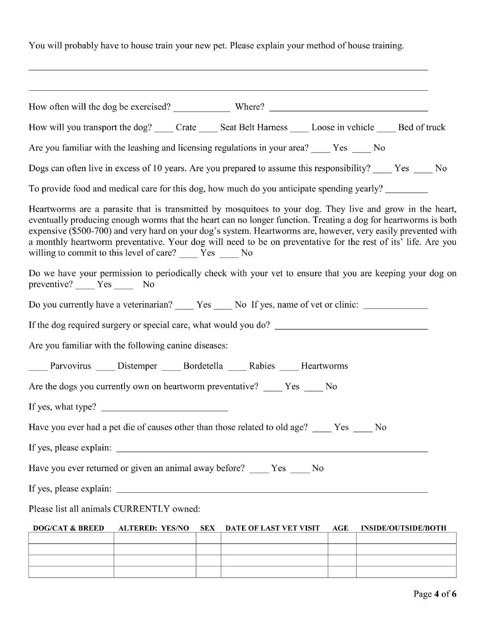You will probably have to house train your new pet. Please explain your method of house training.

| How will you transport the dog? _____ Crate _____ Seat Belt Harness _____ Loose in vehicle _____ Bed of truck                                                                                                                                                                                                                                                                                                                                                                                                                |
|------------------------------------------------------------------------------------------------------------------------------------------------------------------------------------------------------------------------------------------------------------------------------------------------------------------------------------------------------------------------------------------------------------------------------------------------------------------------------------------------------------------------------|
| Are you familiar with the leashing and licensing regulations in your area? _____ Yes _____ No                                                                                                                                                                                                                                                                                                                                                                                                                                |
| Dogs can often live in excess of 10 years. Are you prepared to assume this responsibility? ____ Yes ____ No                                                                                                                                                                                                                                                                                                                                                                                                                  |
| To provide food and medical care for this dog, how much do you anticipate spending yearly?                                                                                                                                                                                                                                                                                                                                                                                                                                   |
| Heartworms are a parasite that is transmitted by mosquitoes to your dog. They live and grow in the heart,<br>eventually producing enough worms that the heart can no longer function. Treating a dog for heartworms is both<br>expensive (\$500-700) and very hard on your dog's system. Heartworms are, however, very easily prevented with<br>a monthly heartworm preventative. Your dog will need to be on preventative for the rest of its' life. Are you<br>willing to commit to this level of care? _____ Yes _____ No |
| Do we have your permission to periodically check with your vet to ensure that you are keeping your dog on<br>preventive? _____ Yes ______ No                                                                                                                                                                                                                                                                                                                                                                                 |
| Do you currently have a veterinarian? ______ Yes _____ No If yes, name of vet or clinic: ___________                                                                                                                                                                                                                                                                                                                                                                                                                         |
|                                                                                                                                                                                                                                                                                                                                                                                                                                                                                                                              |
| Are you familiar with the following canine diseases:                                                                                                                                                                                                                                                                                                                                                                                                                                                                         |
| _____ Parvovirus _____ Distemper _____ Bordetella _____ Rabies _____ Heartworms                                                                                                                                                                                                                                                                                                                                                                                                                                              |
| Are the dogs you currently own on heartworm preventative? _____ Yes ____ No                                                                                                                                                                                                                                                                                                                                                                                                                                                  |
|                                                                                                                                                                                                                                                                                                                                                                                                                                                                                                                              |
| Have you ever had a pet die of causes other than those related to old age? ____ Yes<br>N <sub>0</sub>                                                                                                                                                                                                                                                                                                                                                                                                                        |
|                                                                                                                                                                                                                                                                                                                                                                                                                                                                                                                              |
| Have you ever returned or given an animal away before? _____ Yes ____ No                                                                                                                                                                                                                                                                                                                                                                                                                                                     |
|                                                                                                                                                                                                                                                                                                                                                                                                                                                                                                                              |
| Please list all animals CURRENTLY owned:                                                                                                                                                                                                                                                                                                                                                                                                                                                                                     |
| <b>DOG/CAT &amp; BREED</b><br><b>ALTERED: YES/NO</b><br>SEX<br>AGE<br>DATE OF LAST VET VISIT<br><b>INSIDE/OUTSIDE/BOTH</b>                                                                                                                                                                                                                                                                                                                                                                                                   |
|                                                                                                                                                                                                                                                                                                                                                                                                                                                                                                                              |
|                                                                                                                                                                                                                                                                                                                                                                                                                                                                                                                              |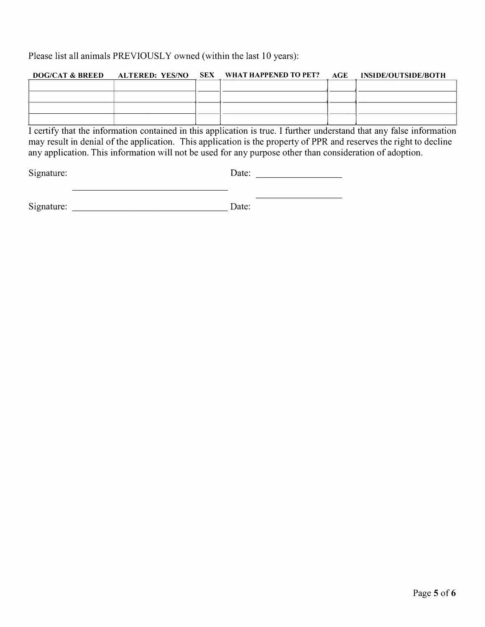Please list all animals PREVIOUSLY owned (within the last 10 years):

|  | DOG/CAT & BREED ALTERED: YES/NO SEX WHAT HAPPENED TO PET? AGE INSIDE/OUTSIDE/BOTH |  |
|--|-----------------------------------------------------------------------------------|--|
|  |                                                                                   |  |
|  |                                                                                   |  |
|  |                                                                                   |  |
|  |                                                                                   |  |

I certify that the information contained in this application is true. I further understand that any false information may result in denial of the application. This application is the property of PPR and reserves the right to decline any application. This information will not be used for any purpose other than consideration of adoption.

Signature: Date: Date: 2008.

the control of the control of the

Signature: \_\_\_\_\_\_\_\_\_\_\_\_\_\_\_ Date:

---------------